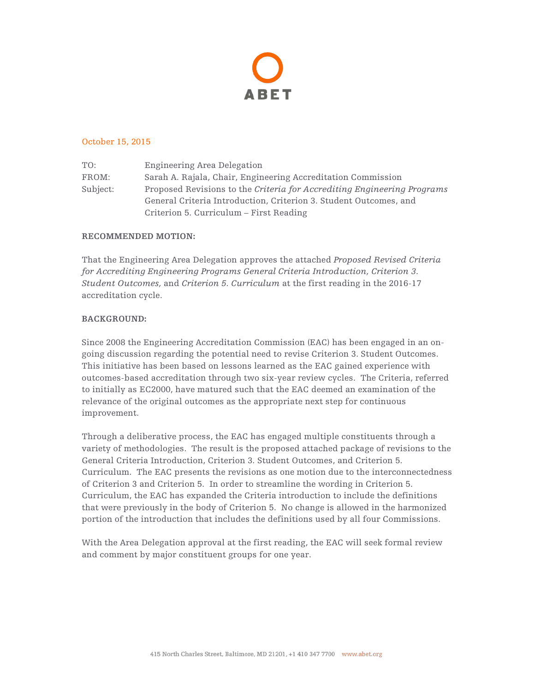

### October 15, 2015

TO: Engineering Area Delegation FROM: Sarah A. Rajala, Chair, Engineering Accreditation Commission Subject: Proposed Revisions to the *Criteria for Accrediting Engineering Programs* General Criteria Introduction, Criterion 3. Student Outcomes, and Criterion 5. Curriculum – First Reading

### **RECOMMENDED MOTION:**

That the Engineering Area Delegation approves the attached *Proposed Revised Criteria for Accrediting Engineering Programs General Criteria Introduction, Criterion 3. Student Outcomes,* and *Criterion 5. Curriculum* at the first reading in the 2016-17 accreditation cycle.

## **BACKGROUND:**

Since 2008 the Engineering Accreditation Commission (EAC) has been engaged in an ongoing discussion regarding the potential need to revise Criterion 3. Student Outcomes. This initiative has been based on lessons learned as the EAC gained experience with outcomes-based accreditation through two six-year review cycles. The Criteria, referred to initially as EC2000, have matured such that the EAC deemed an examination of the relevance of the original outcomes as the appropriate next step for continuous improvement.

Through a deliberative process, the EAC has engaged multiple constituents through a variety of methodologies. The result is the proposed attached package of revisions to the General Criteria Introduction, Criterion 3. Student Outcomes, and Criterion 5. Curriculum. The EAC presents the revisions as one motion due to the interconnectedness of Criterion 3 and Criterion 5. In order to streamline the wording in Criterion 5. Curriculum, the EAC has expanded the Criteria introduction to include the definitions that were previously in the body of Criterion 5. No change is allowed in the harmonized portion of the introduction that includes the definitions used by all four Commissions.

With the Area Delegation approval at the first reading, the EAC will seek formal review and comment by major constituent groups for one year.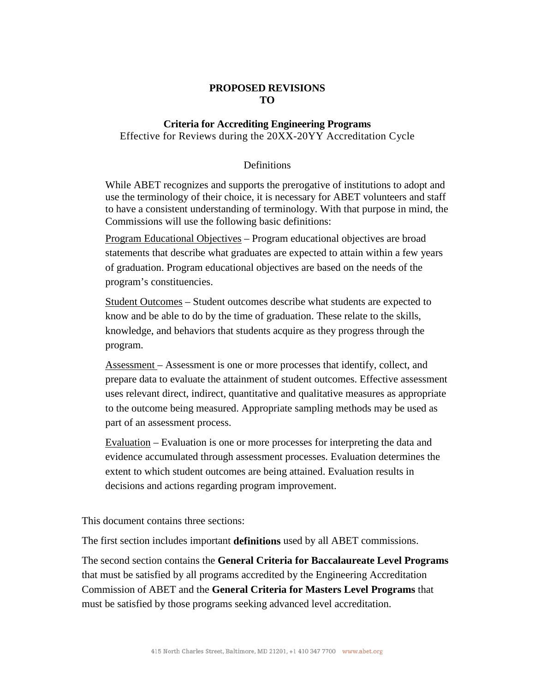# **PROPOSED REVISIONS TO**

# **Criteria for Accrediting Engineering Programs** Effective for Reviews during the 20XX-20YY Accreditation Cycle

## Definitions

While ABET recognizes and supports the prerogative of institutions to adopt and use the terminology of their choice, it is necessary for ABET volunteers and staff to have a consistent understanding of terminology. With that purpose in mind, the Commissions will use the following basic definitions:

Program Educational Objectives – Program educational objectives are broad statements that describe what graduates are expected to attain within a few years of graduation. Program educational objectives are based on the needs of the program's constituencies.

Student Outcomes – Student outcomes describe what students are expected to know and be able to do by the time of graduation. These relate to the skills, knowledge, and behaviors that students acquire as they progress through the program.

Assessment – Assessment is one or more processes that identify, collect, and prepare data to evaluate the attainment of student outcomes. Effective assessment uses relevant direct, indirect, quantitative and qualitative measures as appropriate to the outcome being measured. Appropriate sampling methods may be used as part of an assessment process.

Evaluation – Evaluation is one or more processes for interpreting the data and evidence accumulated through assessment processes. Evaluation determines the extent to which student outcomes are being attained. Evaluation results in decisions and actions regarding program improvement.

This document contains three sections:

The first section includes important **definitions** used by all ABET commissions.

The second section contains the **General Criteria for Baccalaureate Level Programs** that must be satisfied by all programs accredited by the Engineering Accreditation Commission of ABET and the **General Criteria for Masters Level Programs** that must be satisfied by those programs seeking advanced level accreditation.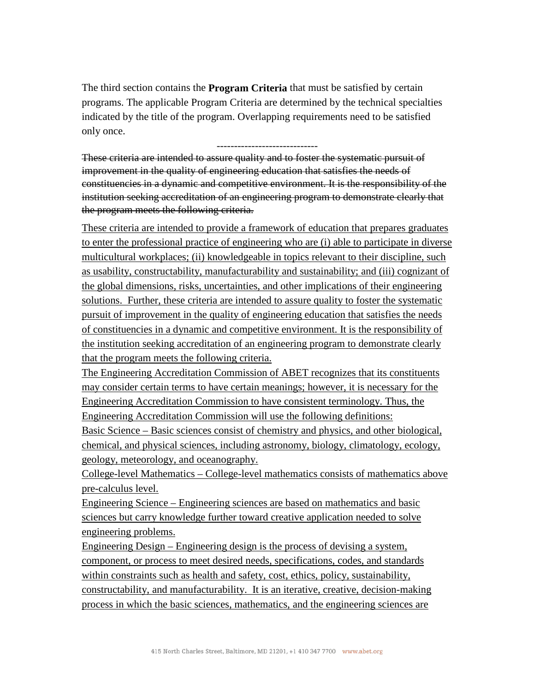The third section contains the **Program Criteria** that must be satisfied by certain programs. The applicable Program Criteria are determined by the technical specialties indicated by the title of the program. Overlapping requirements need to be satisfied only once.

-----------------------------

These criteria are intended to assure quality and to foster the systematic pursuit of improvement in the quality of engineering education that satisfies the needs of constituencies in a dynamic and competitive environment. It is the responsibility of the institution seeking accreditation of an engineering program to demonstrate clearly that the program meets the following criteria.

These criteria are intended to provide a framework of education that prepares graduates to enter the professional practice of engineering who are (i) able to participate in diverse multicultural workplaces; (ii) knowledgeable in topics relevant to their discipline, such as usability, constructability, manufacturability and sustainability; and (iii) cognizant of the global dimensions, risks, uncertainties, and other implications of their engineering solutions. Further, these criteria are intended to assure quality to foster the systematic pursuit of improvement in the quality of engineering education that satisfies the needs of constituencies in a dynamic and competitive environment. It is the responsibility of the institution seeking accreditation of an engineering program to demonstrate clearly that the program meets the following criteria.

The Engineering Accreditation Commission of ABET recognizes that its constituents may consider certain terms to have certain meanings; however, it is necessary for the Engineering Accreditation Commission to have consistent terminology. Thus, the Engineering Accreditation Commission will use the following definitions:

Basic Science – Basic sciences consist of chemistry and physics, and other biological, chemical, and physical sciences, including astronomy, biology, climatology, ecology, geology, meteorology, and oceanography.

College-level Mathematics – College-level mathematics consists of mathematics above pre-calculus level.

Engineering Science – Engineering sciences are based on mathematics and basic sciences but carry knowledge further toward creative application needed to solve engineering problems.

Engineering Design – Engineering design is the process of devising a system, component, or process to meet desired needs, specifications, codes, and standards within constraints such as health and safety, cost, ethics, policy, sustainability, constructability, and manufacturability. It is an iterative, creative, decision-making process in which the basic sciences, mathematics, and the engineering sciences are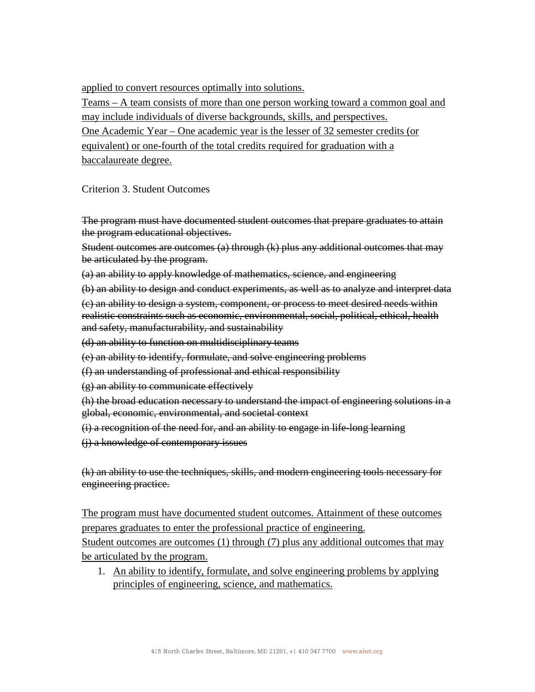applied to convert resources optimally into solutions.

Teams – A team consists of more than one person working toward a common goal and may include individuals of diverse backgrounds, skills, and perspectives. One Academic Year – One academic year is the lesser of 32 semester credits (or equivalent) or one-fourth of the total credits required for graduation with a baccalaureate degree.

Criterion 3. Student Outcomes

The program must have documented student outcomes that prepare graduates to attain the program educational objectives.

Student outcomes are outcomes (a) through (k) plus any additional outcomes that may be articulated by the program.

(a) an ability to apply knowledge of mathematics, science, and engineering

(b) an ability to design and conduct experiments, as well as to analyze and interpret data

(c) an ability to design a system, component, or process to meet desired needs within realistic constraints such as economic, environmental, social, political, ethical, health and safety, manufacturability, and sustainability

(d) an ability to function on multidisciplinary teams

(e) an ability to identify, formulate, and solve engineering problems

(f) an understanding of professional and ethical responsibility

(g) an ability to communicate effectively

(h) the broad education necessary to understand the impact of engineering solutions in a global, economic, environmental, and societal context

(i) a recognition of the need for, and an ability to engage in life-long learning

(j) a knowledge of contemporary issues

(k) an ability to use the techniques, skills, and modern engineering tools necessary for engineering practice.

The program must have documented student outcomes. Attainment of these outcomes prepares graduates to enter the professional practice of engineering. Student outcomes are outcomes (1) through (7) plus any additional outcomes that may

be articulated by the program.

1. An ability to identify, formulate, and solve engineering problems by applying principles of engineering, science, and mathematics.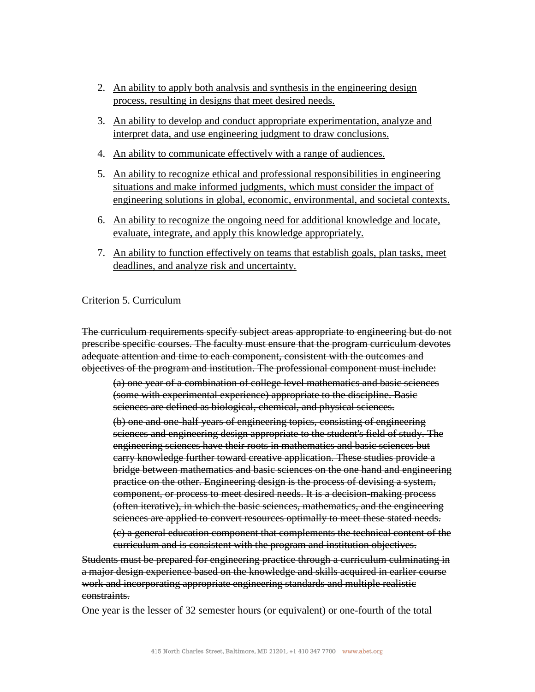- 2. An ability to apply both analysis and synthesis in the engineering design process, resulting in designs that meet desired needs.
- 3. An ability to develop and conduct appropriate experimentation, analyze and interpret data, and use engineering judgment to draw conclusions.
- 4. An ability to communicate effectively with a range of audiences.
- 5. An ability to recognize ethical and professional responsibilities in engineering situations and make informed judgments, which must consider the impact of engineering solutions in global, economic, environmental, and societal contexts.
- 6. An ability to recognize the ongoing need for additional knowledge and locate, evaluate, integrate, and apply this knowledge appropriately.
- 7. An ability to function effectively on teams that establish goals, plan tasks, meet deadlines, and analyze risk and uncertainty.

## Criterion 5. Curriculum

The curriculum requirements specify subject areas appropriate to engineering but do not prescribe specific courses. The faculty must ensure that the program curriculum devotes adequate attention and time to each component, consistent with the outcomes and objectives of the program and institution. The professional component must include:

(a) one year of a combination of college level mathematics and basic sciences (some with experimental experience) appropriate to the discipline. Basic sciences are defined as biological, chemical, and physical sciences.

(b) one and one-half years of engineering topics, consisting of engineering sciences and engineering design appropriate to the student's field of study. The engineering sciences have their roots in mathematics and basic sciences but carry knowledge further toward creative application. These studies provide a bridge between mathematics and basic sciences on the one hand and engineering practice on the other. Engineering design is the process of devising a system, component, or process to meet desired needs. It is a decision-making process (often iterative), in which the basic sciences, mathematics, and the engineering sciences are applied to convert resources optimally to meet these stated needs.

(c) a general education component that complements the technical content of the curriculum and is consistent with the program and institution objectives.

Students must be prepared for engineering practice through a curriculum culminating in a major design experience based on the knowledge and skills acquired in earlier course work and incorporating appropriate engineering standards and multiple realistic constraints.

One year is the lesser of 32 semester hours (or equivalent) or one-fourth of the total